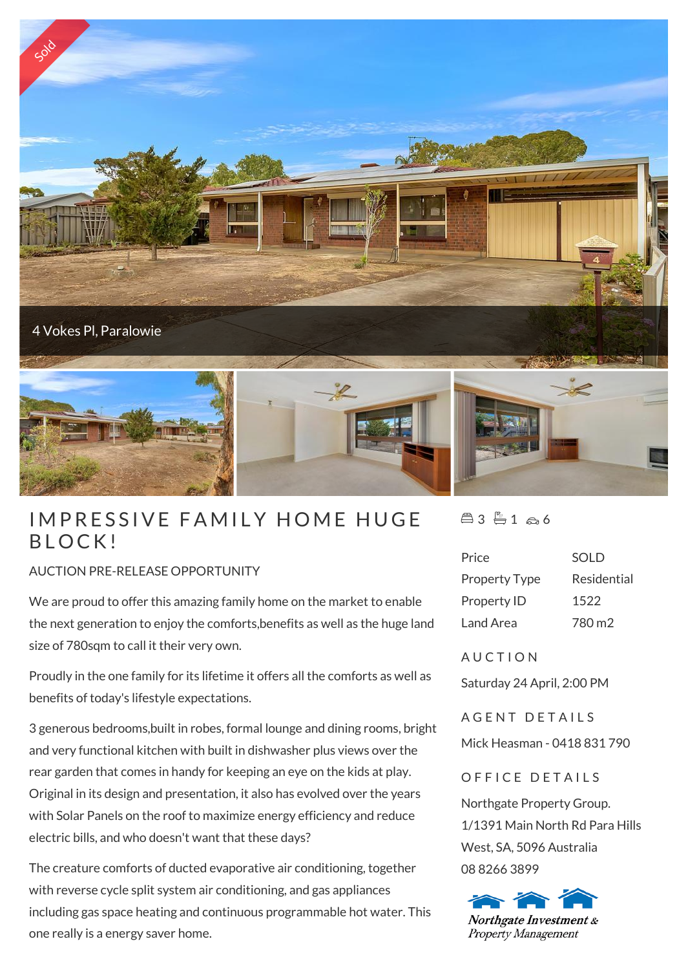

## IMPRESSIN<br>BLOCK!

## AUCTION PRE-RELEASE OPPORTUNITY

We are proud to offer this amazing family home on the market to enable the next generation to enjoy the comforts,benefits as well as the huge land size of 780sqm to call it their very own.

Proudly in the one family for its lifetime it offers all the comforts as well as benefits of today's lifestyle expectations.

3 generous bedrooms,built in robes, formal lounge and dining rooms, bright and very functional kitchen with built in dishwasher plus views over the rear garden that comes in handy for keeping an eye on the kids at play. Original in its design and presentation, it also has evolved over the years with Solar Panels on the roof to maximize energy efficiency and reduce electric bills, and who doesn't want that these days?

The creature comforts of ducted evaporative air conditioning, together with reverse cycle split system air conditioning, and gas appliances including gas space heating and continuous programmable hot water. This one really is a energy saver home.

 $43 - 166$ 

| <b>SOLD</b> |
|-------------|
| Residential |
| 1522        |
| 780 m2      |
|             |

**AUCTION** 

Saturday 24 April, 2:00 PM

A GENT DETAILS

Mick Heasman - 0418 831 790

OFFICE DETAILS

Northgate Property Group. 1/1391 Main North Rd Para Hills West, SA, 5096 Australia 08 8266 3899